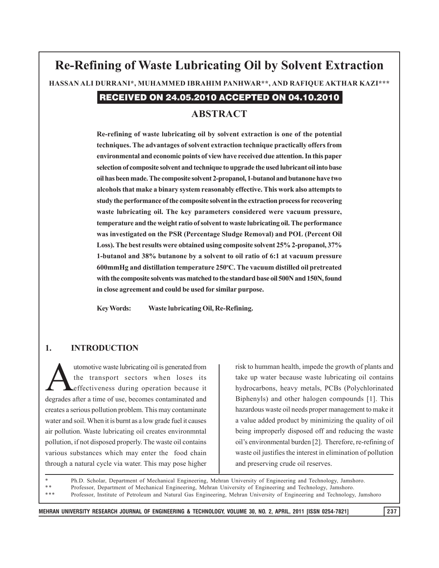# **Re-Refining of Waste Lubricating Oil by Solvent Extraction HASSAN ALI DURRANI\*, MUHAMMED IBRAHIM PANHWAR\*\*, AND RAFIQUE AKTHAR KAZI\*\*\***

# RECEIVED ON 24.05.2010 ACCEPTED ON 04.10.2010

## **ABSTRACT**

**Re-refining of waste lubricating oil by solvent extraction is one of the potential techniques. The advantages of solvent extraction technique practically offers from environmental and economic points of view have received due attention. In this paper selection of composite solvent and technique to upgrade the used lubricant oil into base oil has been made. The composite solvent 2-propanol, 1-butanol and butanone have two alcohols that make a binary system reasonably effective. This work also attempts to study the performance of the composite solvent in the extraction process for recovering waste lubricating oil. The key parameters considered were vacuum pressure, temperature and the weight ratio of solvent to waste lubricating oil. The performance was investigated on the PSR (Percentage Sludge Removal) and POL (Percent Oil Loss). The best results were obtained using composite solvent 25% 2-propanol, 37% 1-butanol and 38% butanone by a solvent to oil ratio of 6:1 at vacuum pressure 600mmHg and distillation temperature 250o C. The vacuum distilled oil pretreated with the composite solvents was matched to the standard base oil 500N and 150N, found in close agreement and could be used for similar purpose.**

**Key Words: Waste lubricating Oil, Re-Refining.**

### **1. INTRODUCTION**

utomotive waste lubricating oil is generated from the transport sectors when loses its effectiveness during operation because it degrades after a time of use, becomes contaminated and creates a serious pollution problem. This may contaminate water and soil. When it is burnt as a low grade fuel it causes air pollution. Waste lubricating oil creates environmntal pollution, if not disposed properly. The waste oil contains various substances which may enter the food chain through a natural cycle via water. This may pose higher

risk to humman health, impede the growth of plants and take up water because waste lubricating oil contains hydrocarbons, heavy metals, PCBs (Polychlorinated Biphenyls) and other halogen compounds [1]. This hazardous waste oil needs proper management to make it a value added product by minimizing the quality of oil being improperly disposed off and reducing the waste oil's environmental burden [2]. Therefore, re-refining of waste oil justifies the interest in elimination of pollution and preserving crude oil reserves.

Ph.D. Scholar, Department of Mechanical Engineering, Mehran University of Engineering and Technology, Jamshoro.

\*\* Professor, Department of Mechanical Engineering, Mehran University of Engineering and Technology, Jamshoro.<br>\*\*\* Professor Institute of Betrology and Natural Cas Engineering, Mehran University of Engineering and Technolo \*\*\* Professor, Institute of Petroleum and Natural Gas Engineering, Mehran University of Engineering and Technology, Jamshoro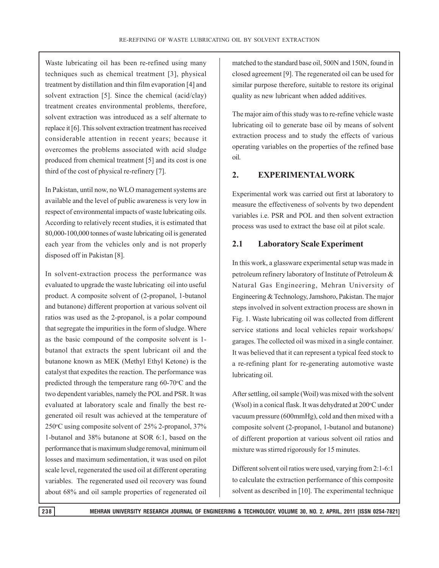Waste lubricating oil has been re-refined using many techniques such as chemical treatment [3], physical treatment by distillation and thin film evaporation [4] and solvent extraction [5]. Since the chemical (acid/clay) treatment creates environmental problems, therefore, solvent extraction was introduced as a self alternate to replace it [6]. This solvent extraction treatment has received considerable attention in recent years; because it overcomes the problems associated with acid sludge produced from chemical treatment [5] and its cost is one third of the cost of physical re-refinery [7].

In Pakistan, until now, no WLO management systems are available and the level of public awareness is very low in respect of environmental impacts of waste lubricating oils. According to relatively recent studies, it is estimated that 80,000-100,000 tonnes of waste lubricating oil is generated each year from the vehicles only and is not properly disposed off in Pakistan [8].

In solvent-extraction process the performance was evaluated to upgrade the waste lubricating oil into useful product. A composite solvent of (2-propanol, 1-butanol and butanone) different proportion at various solvent oil ratios was used as the 2-propanol, is a polar compound that segregate the impurities in the form of sludge. Where as the basic compound of the composite solvent is 1 butanol that extracts the spent lubricant oil and the butanone known as MEK (Methyl Ethyl Ketone) is the catalyst that expedites the reaction. The performance was predicted through the temperature rang  $60-70$ <sup>o</sup>C and the two dependent variables, namely the POL and PSR. It was evaluated at laboratory scale and finally the best regenerated oil result was achieved at the temperature of 250°C using composite solvent of 25% 2-propanol, 37% 1-butanol and 38% butanone at SOR 6:1, based on the performance that is maximum sludge removal, minimum oil losses and maximum sedimentation, it was used on pilot scale level, regenerated the used oil at different operating variables. The regenerated used oil recovery was found about 68% and oil sample properties of regenerated oil

matched to the standard base oil, 500N and 150N, found in closed agreement [9]. The regenerated oil can be used for similar purpose therefore, suitable to restore its original quality as new lubricant when added additives.

The major aim of this study was to re-refine vehicle waste lubricating oil to generate base oil by means of solvent extraction process and to study the effects of various operating variables on the properties of the refined base oil.

# **2. EXPERIMENTAL WORK**

Experimental work was carried out first at laboratory to measure the effectiveness of solvents by two dependent variables i.e. PSR and POL and then solvent extraction process was used to extract the base oil at pilot scale.

# **2.1 Laboratory Scale Experiment**

In this work, a glassware experimental setup was made in petroleum refinery laboratory of Institute of Petroleum & Natural Gas Engineering, Mehran University of Engineering & Technology, Jamshoro, Pakistan. The major steps involved in solvent extraction process are shown in Fig. 1. Waste lubricating oil was collected from different service stations and local vehicles repair workshops/ garages. The collected oil was mixed in a single container. It was believed that it can represent a typical feed stock to a re-refining plant for re-generating automotive waste lubricating oil.

After settling, oil sample (Woil) was mixed with the solvent (Wsol) in a conical flask. It was dehydrated at 200°C under vacuum pressure (600mmHg), cold and then mixed with a composite solvent (2-propanol, 1-butanol and butanone) of different proportion at various solvent oil ratios and mixture was stirred rigorously for 15 minutes.

Different solvent oil ratios were used, varying from 2:1-6:1 to calculate the extraction performance of this composite solvent as described in [10]. The experimental technique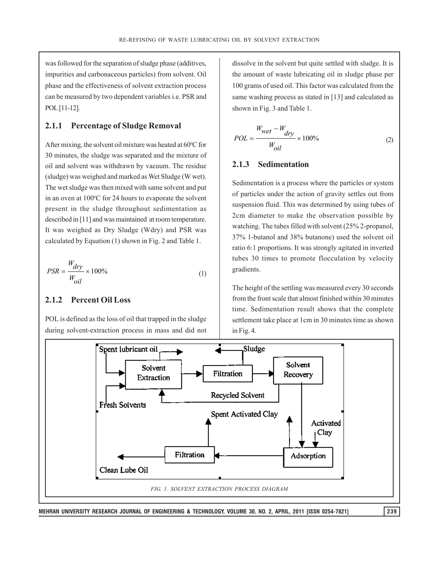was followed for the separation of sludge phase (additives, impurities and carbonaceous particles) from solvent. Oil phase and the effectiveness of solvent extraction process can be measured by two dependent variables i.e. PSR and POL [11-12].

## **2.1.1 Percentage of Sludge Removal**

After mixing, the solvent oil mixture was heated at 60°C for 30 minutes, the sludge was separated and the mixture of oil and solvent was withdrawn by vacuum. The residue (sludge) was weighed and marked as Wet Sludge (W wet). The wet sludge was then mixed with same solvent and put in an oven at 100°C for 24 hours to evaporate the solvent present in the sludge throughout sedimentation as described in [11] and was maintained at room temperature. It was weighed as Dry Sludge (Wdry) and PSR was calculated by Equation (1) shown in Fig. 2 and Table 1.

$$
PSR = \frac{W_{dry}}{W_{oil}} \times 100\%
$$
 (1)

## **2.1.2 Percent Oil Loss**

POL is defined as the loss of oil that trapped in the sludge during solvent-extraction process in mass and did not dissolve in the solvent but quite settled with sludge. It is the amount of waste lubricating oil in sludge phase per 100 grams of used oil. This factor was calculated from the same washing process as stated in [13] and calculated as shown in Fig. 3 and Table 1.

$$
POL = \frac{W_{wet} - W_{dry}}{W_{oil}} \times 100\%
$$
 (2)

#### **2.1.3 Sedimentation**

Sedimentation is a process where the particles or system of particles under the action of gravity settles out from suspension fluid. This was determined by using tubes of 2cm diameter to make the observation possible by watching. The tubes filled with solvent (25% 2-propanol, 37% 1-butanol and 38% butanone) used the solvent oil ratio 6:1 proportions. It was strongly agitated in inverted tubes 30 times to promote flocculation by velocity gradients.

The height of the settling was measured every 30 seconds from the front scale that almost finished within 30 minutes time. Sedimentation result shows that the complete settlement take place at 1cm in 30 minutes time as shown in Fig. 4.

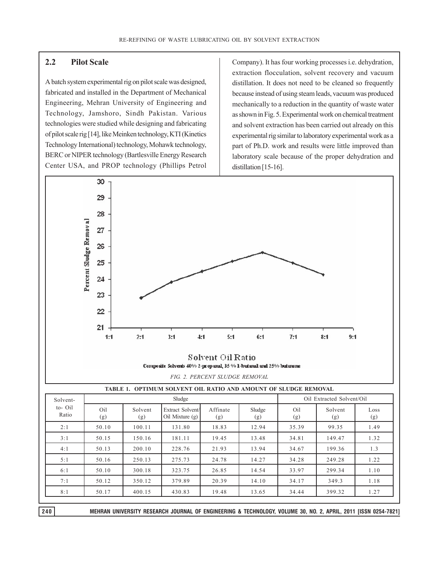## **2.2 Pilot Scale**

A batch system experimental rig on pilot scale was designed, fabricated and installed in the Department of Mechanical Engineering, Mehran University of Engineering and Technology, Jamshoro, Sindh Pakistan. Various technologies were studied while designing and fabricating of pilot scale rig [14], like Meinken technology, KTI (Kinetics Technology International) technology, Mohawk technology, BERC or NIPER technology (Bartlesville Energy Research Center USA, and PROP technology (Phillips Petrol Company). It has four working processes i.e. dehydration, extraction flocculation, solvent recovery and vacuum distillation. It does not need to be cleaned so frequently because instead of using steam leads, vacuum was produced mechanically to a reduction in the quantity of waste water as shown in Fig. 5. Experimental work on chemical treatment and solvent extraction has been carried out already on this experimental rig similar to laboratory experimental work as a part of Ph.D. work and results were little improved than laboratory scale because of the proper dehydration and distillation [15-16].





|  |  | TABLE 1.  OPTIMUM SOLVENT OIL RATIO AND AMOUNT OF SLUDGE REMOVAL |  |
|--|--|------------------------------------------------------------------|--|
|  |  |                                                                  |  |

| Sludge     |                |                                     |                 |               | Oil Extracted Solvent/Oil |                |             |
|------------|----------------|-------------------------------------|-----------------|---------------|---------------------------|----------------|-------------|
| Oil<br>(g) | Solvent<br>(g) | Extract Solvent/<br>Oil Mixture (g) | Affinate<br>(g) | Sludge<br>(g) | Oil<br>(g)                | Solvent<br>(g) | Loss<br>(g) |
| 50.10      | 100.11         | 131.80                              | 18.83           | 12.94         | 35.39                     | 99.35          | 1.49        |
| 50.15      | 150.16         | 181.11                              | 19.45           | 13.48         | 34.81                     | 149.47         | 1.32        |
| 50.13      | 200.10         | 228.76                              | 21.93           | 13.94         | 34.67                     | 199.36         | 1.3         |
| 50.16      | 250.13         | 275.73                              | 24.78           | 14.27         | 34.28                     | 249.28         | 1.22        |
| 50.10      | 300.18         | 323.75                              | 26.85           | 14.54         | 33.97                     | 299.34         | 1.10        |
| 50.12      | 350.12         | 379.89                              | 20.39           | 14.10         | 34.17                     | 349.3          | 1.18        |
| 50.17      | 400.15         | 430.83                              | 19.48           | 13.65         | 34.44                     | 399.32         | 1.27        |
|            |                |                                     |                 |               |                           |                |             |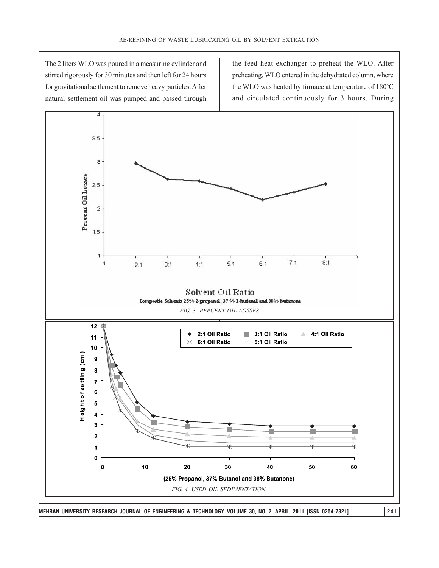The 2 liters WLO was poured in a measuring cylinder and stirred rigorously for 30 minutes and then left for 24 hours for gravitational settlement to remove heavy particles. After natural settlement oil was pumped and passed through the feed heat exchanger to preheat the WLO. After preheating, WLO entered in the dehydrated column, where the WLO was heated by furnace at temperature of 180°C and circulated continuously for 3 hours. During

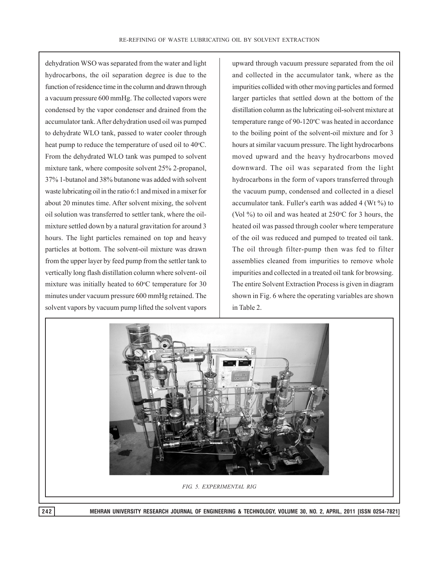dehydration WSO was separated from the water and light hydrocarbons, the oil separation degree is due to the function of residence time in the column and drawn through a vacuum pressure 600 mmHg. The collected vapors were condensed by the vapor condenser and drained from the accumulator tank. After dehydration used oil was pumped to dehydrate WLO tank, passed to water cooler through heat pump to reduce the temperature of used oil to 40°C. From the dehydrated WLO tank was pumped to solvent mixture tank, where composite solvent 25% 2-propanol, 37% 1-butanol and 38% butanone was added with solvent waste lubricating oil in the ratio 6:1 and mixed in a mixer for about 20 minutes time. After solvent mixing, the solvent oil solution was transferred to settler tank, where the oilmixture settled down by a natural gravitation for around 3 hours. The light particles remained on top and heavy particles at bottom. The solvent-oil mixture was drawn from the upper layer by feed pump from the settler tank to vertically long flash distillation column where solvent- oil mixture was initially heated to  $60^{\circ}$ C temperature for 30 minutes under vacuum pressure 600 mmHg retained. The solvent vapors by vacuum pump lifted the solvent vapors

upward through vacuum pressure separated from the oil and collected in the accumulator tank, where as the impurities collided with other moving particles and formed larger particles that settled down at the bottom of the distillation column as the lubricating oil-solvent mixture at temperature range of 90-120°C was heated in accordance to the boiling point of the solvent-oil mixture and for 3 hours at similar vacuum pressure. The light hydrocarbons moved upward and the heavy hydrocarbons moved downward. The oil was separated from the light hydrocarbons in the form of vapors transferred through the vacuum pump, condensed and collected in a diesel accumulator tank. Fuller's earth was added 4 (Wt %) to (Vol  $\%$ ) to oil and was heated at 250 $\degree$ C for 3 hours, the heated oil was passed through cooler where temperature of the oil was reduced and pumped to treated oil tank. The oil through filter-pump then was fed to filter assemblies cleaned from impurities to remove whole impurities and collected in a treated oil tank for browsing. The entire Solvent Extraction Process is given in diagram shown in Fig. 6 where the operating variables are shown in Table 2.

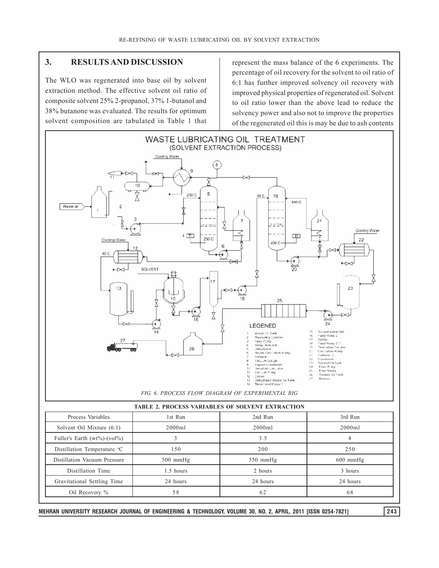# **3. RESULTS AND DISCUSSION**

The WLO was regenerated into base oil by solvent extraction method. The effective solvent oil ratio of composite solvent 25% 2-propanol, 37% 1-butanol and 38% butanone was evaluated. The results for optimum solvent composition are tabulated in Table 1 that represent the mass balance of the 6 experiments. The percentage of oil recovery for the solvent to oil ratio of 6:1 has further improved solvency oil recovery with improved physical properties of regenerated oil. Solvent to oil ratio lower than the above lead to reduce the solvency power and also not to improve the properties of the regenerated oil this is may be due to ash contents



| <i>HADDD</i> 2, FAOCD99 HARRIDDD9 OF 90DHD11 DRIINICIION |            |            |  |  |  |
|----------------------------------------------------------|------------|------------|--|--|--|
| 1st Run                                                  | 2nd Run    | 3rd Run    |  |  |  |
| 2000ml                                                   | 2000ml     | 2000ml     |  |  |  |
|                                                          | 3.5        |            |  |  |  |
| 150                                                      | 200        | 250        |  |  |  |
| $500$ mmHg                                               | $550$ mmHg | $600$ mmHg |  |  |  |
| 1.5 hours                                                | 2 hours    | 3 hours    |  |  |  |
| 24 hours                                                 | 24 hours   | 24 hours   |  |  |  |
| 58                                                       | 62         | 68         |  |  |  |
|                                                          |            |            |  |  |  |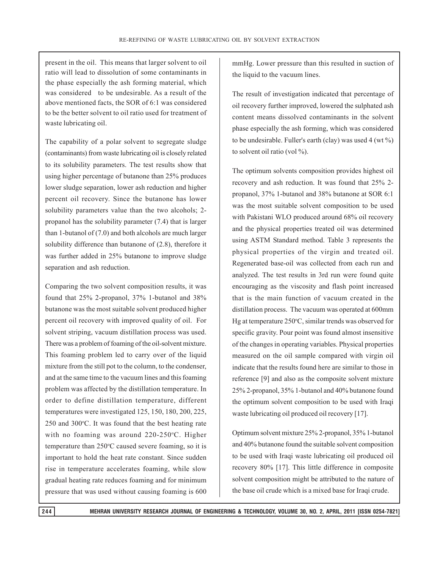present in the oil. This means that larger solvent to oil ratio will lead to dissolution of some contaminants in the phase especially the ash forming material, which was considered to be undesirable. As a result of the above mentioned facts, the SOR of 6:1 was considered to be the better solvent to oil ratio used for treatment of waste lubricating oil.

The capability of a polar solvent to segregate sludge (contaminants) from waste lubricating oil is closely related to its solubility parameters. The test results show that using higher percentage of butanone than 25% produces lower sludge separation, lower ash reduction and higher percent oil recovery. Since the butanone has lower solubility parameters value than the two alcohols; 2 propanol has the solubility parameter (7.4) that is larger than 1-butanol of (7.0) and both alcohols are much larger solubility difference than butanone of (2.8), therefore it was further added in 25% butanone to improve sludge separation and ash reduction.

Comparing the two solvent composition results, it was found that 25% 2-propanol, 37% 1-butanol and 38% butanone was the most suitable solvent produced higher percent oil recovery with improved quality of oil. For solvent striping, vacuum distillation process was used. There was a problem of foaming of the oil-solvent mixture. This foaming problem led to carry over of the liquid mixture from the still pot to the column, to the condenser, and at the same time to the vacuum lines and this foaming problem was affected by the distillation temperature. In order to define distillation temperature, different temperatures were investigated 125, 150, 180, 200, 225,  $250$  and  $300^{\circ}$ C. It was found that the best heating rate with no foaming was around 220-250°C. Higher temperature than 250°C caused severe foaming, so it is important to hold the heat rate constant. Since sudden rise in temperature accelerates foaming, while slow gradual heating rate reduces foaming and for minimum pressure that was used without causing foaming is 600

mmHg. Lower pressure than this resulted in suction of the liquid to the vacuum lines.

The result of investigation indicated that percentage of oil recovery further improved, lowered the sulphated ash content means dissolved contaminants in the solvent phase especially the ash forming, which was considered to be undesirable. Fuller's earth (clay) was used  $4 \text{ (wt } \%$ ) to solvent oil ratio (vol %).

The optimum solvents composition provides highest oil recovery and ash reduction. It was found that 25% 2 propanol, 37% 1-butanol and 38% butanone at SOR 6:1 was the most suitable solvent composition to be used with Pakistani WLO produced around 68% oil recovery and the physical properties treated oil was determined using ASTM Standard method. Table 3 represents the physical properties of the virgin and treated oil. Regenerated base-oil was collected from each run and analyzed. The test results in 3rd run were found quite encouraging as the viscosity and flash point increased that is the main function of vacuum created in the distillation process. The vacuum was operated at 600mm Hg at temperature 250°C, similar trends was observed for specific gravity. Pour point was found almost insensitive of the changes in operating variables. Physical properties measured on the oil sample compared with virgin oil indicate that the results found here are similar to those in reference [9] and also as the composite solvent mixture 25% 2-propanol, 35% 1-butanol and 40% butanone found the optimum solvent composition to be used with Iraqi waste lubricating oil produced oil recovery [17].

Optimum solvent mixture 25% 2-propanol, 35% 1-butanol and 40% butanone found the suitable solvent composition to be used with Iraqi waste lubricating oil produced oil recovery 80% [17]. This little difference in composite solvent composition might be attributed to the nature of the base oil crude which is a mixed base for Iraqi crude.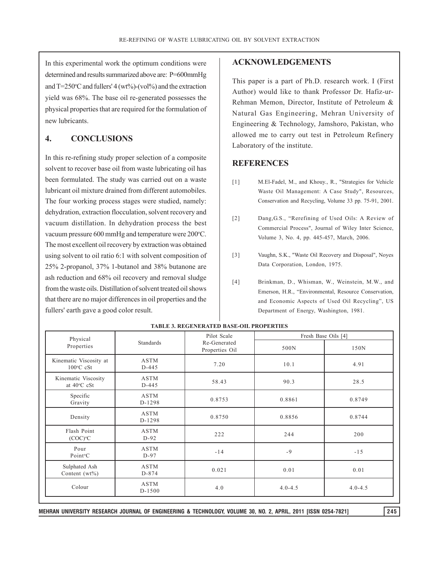In this experimental work the optimum conditions were determined and results summarized above are: P=600mmHg and  $T=250^{\circ}$ C and fullers' 4 (wt%)-(vol%) and the extraction yield was 68%. The base oil re-generated possesses the physical properties that are required for the formulation of new lubricants.

# **4. CONCLUSIONS**

In this re-refining study proper selection of a composite solvent to recover base oil from waste lubricating oil has been formulated. The study was carried out on a waste lubricant oil mixture drained from different automobiles. The four working process stages were studied, namely: dehydration, extraction flocculation, solvent recovery and vacuum distillation. In dehydration process the best vacuum pressure 600 mmHg and temperature were 200°C. The most excellent oil recovery by extraction was obtained using solvent to oil ratio 6:1 with solvent composition of 25% 2-propanol, 37% 1-butanol and 38% butanone are ash reduction and 68% oil recovery and removal sludge from the waste oils. Distillation of solvent treated oil shows that there are no major differences in oil properties and the fullers' earth gave a good color result.

## **ACKNOWLEDGEMENTS**

This paper is a part of Ph.D. research work. I (First Author) would like to thank Professor Dr. Hafiz-ur-Rehman Memon, Director, Institute of Petroleum & Natural Gas Engineering, Mehran University of Engineering & Technology, Jamshoro, Pakistan, who allowed me to carry out test in Petroleum Refinery Laboratory of the institute.

## **REFERENCES**

- [1] M.El-Fadel, M., and Khouy., R., "Strategies for Vehicle Waste Oil Management: A Case Study", Resources, Conservation and Recycling, Volume 33 pp. 75-91, 2001.
- [2] Dang,G.S., "Rerefining of Used Oils: A Review of Commercial Process", Journal of Wiley Inter Science, Volume 3, No. 4, pp. 445-457, March, 2006.
- [3] Vaughn, S.K., "Waste Oil Recovery and Disposal", Noyes Data Corporation, London, 1975.
- [4] Brinkman, D., Whisman, W., Weinstein, M.W., and Emerson, H.R., "Environmental, Resource Conservation, and Economic Aspects of Used Oil Recycling", US Department of Energy, Washington, 1981.

| Physical                                      |                          | Pilot Scale                    | Fresh Base Oils [4] |             |  |
|-----------------------------------------------|--------------------------|--------------------------------|---------------------|-------------|--|
| Standards<br>Properties                       |                          | Re-Generated<br>Properties Oil | 500N                | 150N        |  |
| Kinematic Viscosity at<br>$100^{\circ}$ C cSt | <b>ASTM</b><br>$D-445$   | 7.20                           | 10.1                | 4.91        |  |
| Kinematic Viscosity<br>at 40°C cSt            | <b>ASTM</b><br>$D-445$   | 58.43                          | 90.3                | 28.5        |  |
| Specific<br>Gravity                           | <b>ASTM</b><br>D-1298    | 0.8753                         | 0.8861              | 0.8749      |  |
| Density                                       | <b>ASTM</b><br>D-1298    | 0.8750                         | 0.8856              | 0.8744      |  |
| Flash Point<br>$(COC)$ <sup>o</sup> $C$       | <b>ASTM</b><br>$D-92$    | 222                            | 244                 | 200         |  |
| Pour<br>Point <sup>o</sup> C                  | <b>ASTM</b><br>$D-97$    | $-14$                          | $-9$                | $-15$       |  |
| Sulphated Ash<br>Content $(wt\%)$             | <b>ASTM</b><br>$D - 874$ | 0.021                          | 0.01                | 0.01        |  |
| Colour                                        | <b>ASTM</b><br>D-1500    | 4.0                            | $4.0 - 4.5$         | $4.0 - 4.5$ |  |

#### **TABLE 3. REGENERATED BASE-OIL PROPERTIES**